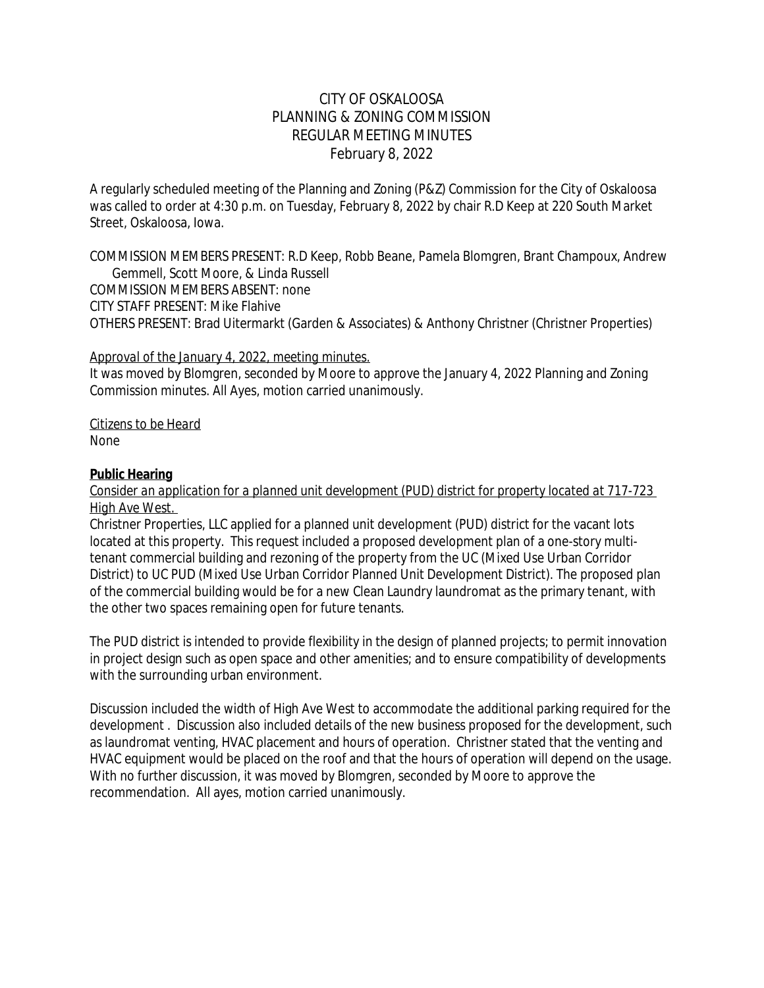## CITY OF OSKALOOSA PLANNING & ZONING COMMISSION REGULAR MEETING MINUTES February 8, 2022

A regularly scheduled meeting of the Planning and Zoning (P&Z) Commission for the City of Oskaloosa was called to order at 4:30 p.m. on Tuesday, February 8, 2022 by chair R.D Keep at 220 South Market Street, Oskaloosa, Iowa.

COMMISSION MEMBERS PRESENT: R.D Keep, Robb Beane, Pamela Blomgren, Brant Champoux, Andrew Gemmell, Scott Moore, & Linda Russell COMMISSION MEMBERS ABSENT: none CITY STAFF PRESENT: Mike Flahive OTHERS PRESENT: Brad Uitermarkt (Garden & Associates) & Anthony Christner (Christner Properties)

#### *Approval of the January 4, 2022, meeting minutes.*

It was moved by Blomgren, seconded by Moore to approve the January 4, 2022 Planning and Zoning Commission minutes. All Ayes, motion carried unanimously.

*Citizens to be Heard* None

#### **Public Hearing**

#### *Consider an application for a planned unit development (PUD) district for property located at 717-723 High Ave West.*

Christner Properties, LLC applied for a planned unit development (PUD) district for the vacant lots located at this property. This request included a proposed development plan of a one-story multitenant commercial building and rezoning of the property from the UC (Mixed Use Urban Corridor District) to UC PUD (Mixed Use Urban Corridor Planned Unit Development District). The proposed plan of the commercial building would be for a new Clean Laundry laundromat as the primary tenant, with the other two spaces remaining open for future tenants.

The PUD district is intended to provide flexibility in the design of planned projects; to permit innovation in project design such as open space and other amenities; and to ensure compatibility of developments with the surrounding urban environment.

Discussion included the width of High Ave West to accommodate the additional parking required for the development . Discussion also included details of the new business proposed for the development, such as laundromat venting, HVAC placement and hours of operation. Christner stated that the venting and HVAC equipment would be placed on the roof and that the hours of operation will depend on the usage. With no further discussion, it was moved by Blomgren, seconded by Moore to approve the recommendation. All ayes, motion carried unanimously.